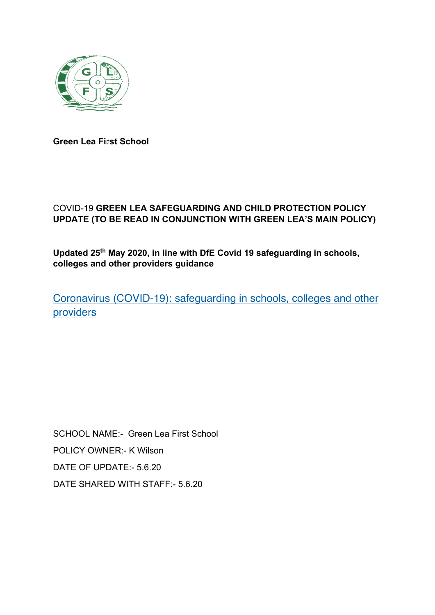

**Green Lea First School**

# COVID-19 **GREEN LEA SAFEGUARDING AND CHILD PROTECTION POLICY UPDATE (TO BE READ IN CONJUNCTION WITH GREEN LEA'S MAIN POLICY)**

**Updated 25th May 2020, in line with DfE Covid 19 safeguarding in schools, colleges and other providers guidance**

Coronavirus (COVID-19): safeguarding in schools, colleges and other providers

SCHOOL NAME:- Green Lea First School POLICY OWNER:- K Wilson DATE OF UPDATE:- 5.6.20 DATE SHARED WITH STAFF:- 5.6.20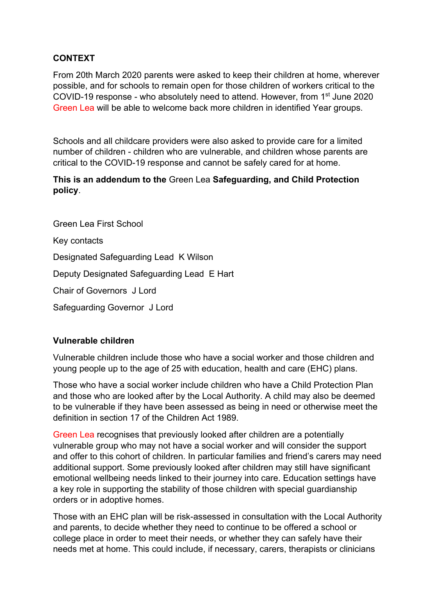## **CONTEXT**

From 20th March 2020 parents were asked to keep their children at home, wherever possible, and for schools to remain open for those children of workers critical to the COVID-19 response - who absolutely need to attend. However, from  $1<sup>st</sup>$  June 2020 Green Lea will be able to welcome back more children in identified Year groups.

Schools and all childcare providers were also asked to provide care for a limited number of children - children who are vulnerable, and children whose parents are critical to the COVID-19 response and cannot be safely cared for at home.

## **This is an addendum to the** Green Lea **Safeguarding, and Child Protection policy**.

Green Lea First School Key contacts Designated Safeguarding Lead K Wilson Deputy Designated Safeguarding Lead E Hart Chair of Governors J Lord Safeguarding Governor J Lord

## **Vulnerable children**

Vulnerable children include those who have a social worker and those children and young people up to the age of 25 with education, health and care (EHC) plans.

Those who have a social worker include children who have a Child Protection Plan and those who are looked after by the Local Authority. A child may also be deemed to be vulnerable if they have been assessed as being in need or otherwise meet the definition in section 17 of the Children Act 1989.

Green Lea recognises that previously looked after children are a potentially vulnerable group who may not have a social worker and will consider the support and offer to this cohort of children. In particular families and friend's carers may need additional support. Some previously looked after children may still have significant emotional wellbeing needs linked to their journey into care. Education settings have a key role in supporting the stability of those children with special guardianship orders or in adoptive homes.

Those with an EHC plan will be risk-assessed in consultation with the Local Authority and parents, to decide whether they need to continue to be offered a school or college place in order to meet their needs, or whether they can safely have their needs met at home. This could include, if necessary, carers, therapists or clinicians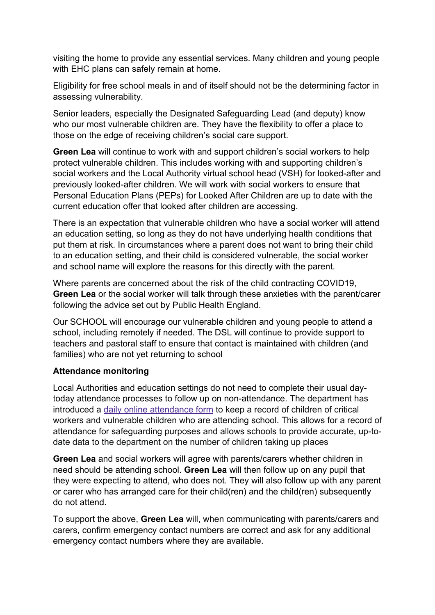visiting the home to provide any essential services. Many children and young people with EHC plans can safely remain at home.

Eligibility for free school meals in and of itself should not be the determining factor in assessing vulnerability.

Senior leaders, especially the Designated Safeguarding Lead (and deputy) know who our most vulnerable children are. They have the flexibility to offer a place to those on the edge of receiving children's social care support.

**Green Lea** will continue to work with and support children's social workers to help protect vulnerable children. This includes working with and supporting children's social workers and the Local Authority virtual school head (VSH) for looked-after and previously looked-after children. We will work with social workers to ensure that Personal Education Plans (PEPs) for Looked After Children are up to date with the current education offer that looked after children are accessing.

There is an expectation that vulnerable children who have a social worker will attend an education setting, so long as they do not have underlying health conditions that put them at risk. In circumstances where a parent does not want to bring their child to an education setting, and their child is considered vulnerable, the social worker and school name will explore the reasons for this directly with the parent.

Where parents are concerned about the risk of the child contracting COVID19, **Green Lea** or the social worker will talk through these anxieties with the parent/carer following the advice set out by Public Health England.

Our SCHOOL will encourage our vulnerable children and young people to attend a school, including remotely if needed. The DSL will continue to provide support to teachers and pastoral staff to ensure that contact is maintained with children (and families) who are not yet returning to school

#### **Attendance monitoring**

Local Authorities and education settings do not need to complete their usual daytoday attendance processes to follow up on non-attendance. The department has introduced a daily online attendance form to keep a record of children of critical workers and vulnerable children who are attending school. This allows for a record of attendance for safeguarding purposes and allows schools to provide accurate, up-todate data to the department on the number of children taking up places

**Green Lea** and social workers will agree with parents/carers whether children in need should be attending school. **Green Lea** will then follow up on any pupil that they were expecting to attend, who does not. They will also follow up with any parent or carer who has arranged care for their child(ren) and the child(ren) subsequently do not attend.

To support the above, **Green Lea** will, when communicating with parents/carers and carers, confirm emergency contact numbers are correct and ask for any additional emergency contact numbers where they are available.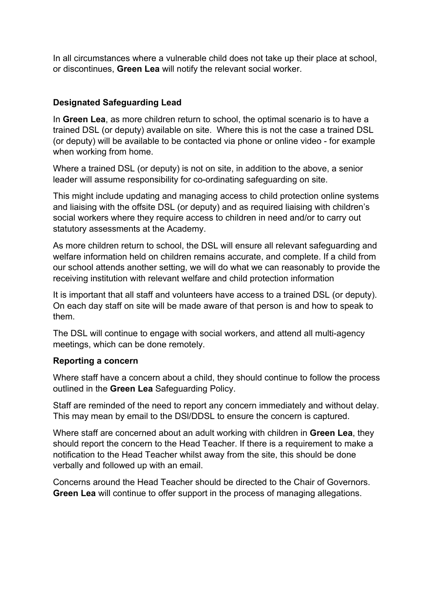In all circumstances where a vulnerable child does not take up their place at school, or discontinues, **Green Lea** will notify the relevant social worker.

## **Designated Safeguarding Lead**

In **Green Lea**, as more children return to school, the optimal scenario is to have a trained DSL (or deputy) available on site. Where this is not the case a trained DSL (or deputy) will be available to be contacted via phone or online video - for example when working from home.

Where a trained DSL (or deputy) is not on site, in addition to the above, a senior leader will assume responsibility for co-ordinating safeguarding on site.

This might include updating and managing access to child protection online systems and liaising with the offsite DSL (or deputy) and as required liaising with children's social workers where they require access to children in need and/or to carry out statutory assessments at the Academy.

As more children return to school, the DSL will ensure all relevant safeguarding and welfare information held on children remains accurate, and complete. If a child from our school attends another setting, we will do what we can reasonably to provide the receiving institution with relevant welfare and child protection information

It is important that all staff and volunteers have access to a trained DSL (or deputy). On each day staff on site will be made aware of that person is and how to speak to them.

The DSL will continue to engage with social workers, and attend all multi-agency meetings, which can be done remotely.

#### **Reporting a concern**

Where staff have a concern about a child, they should continue to follow the process outlined in the **Green Lea** Safeguarding Policy.

Staff are reminded of the need to report any concern immediately and without delay. This may mean by email to the DSl/DDSL to ensure the concern is captured.

Where staff are concerned about an adult working with children in **Green Lea**, they should report the concern to the Head Teacher. If there is a requirement to make a notification to the Head Teacher whilst away from the site, this should be done verbally and followed up with an email.

Concerns around the Head Teacher should be directed to the Chair of Governors. **Green Lea** will continue to offer support in the process of managing allegations.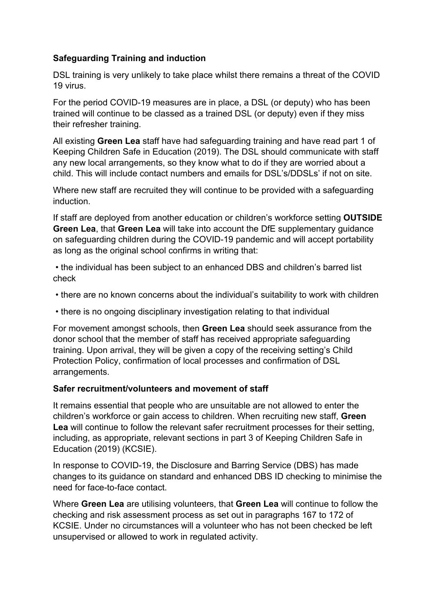## **Safeguarding Training and induction**

DSL training is very unlikely to take place whilst there remains a threat of the COVID 19 virus.

For the period COVID-19 measures are in place, a DSL (or deputy) who has been trained will continue to be classed as a trained DSL (or deputy) even if they miss their refresher training.

All existing **Green Lea** staff have had safeguarding training and have read part 1 of Keeping Children Safe in Education (2019). The DSL should communicate with staff any new local arrangements, so they know what to do if they are worried about a child. This will include contact numbers and emails for DSL's/DDSLs' if not on site.

Where new staff are recruited they will continue to be provided with a safeguarding induction.

If staff are deployed from another education or children's workforce setting **OUTSIDE Green Lea**, that **Green Lea** will take into account the DfE supplementary guidance on safeguarding children during the COVID-19 pandemic and will accept portability as long as the original school confirms in writing that:

• the individual has been subject to an enhanced DBS and children's barred list check

- there are no known concerns about the individual's suitability to work with children
- there is no ongoing disciplinary investigation relating to that individual

For movement amongst schools, then **Green Lea** should seek assurance from the donor school that the member of staff has received appropriate safeguarding training. Upon arrival, they will be given a copy of the receiving setting's Child Protection Policy, confirmation of local processes and confirmation of DSL arrangements.

#### **Safer recruitment/volunteers and movement of staff**

It remains essential that people who are unsuitable are not allowed to enter the children's workforce or gain access to children. When recruiting new staff, **Green Lea** will continue to follow the relevant safer recruitment processes for their setting, including, as appropriate, relevant sections in part 3 of Keeping Children Safe in Education (2019) (KCSIE).

In response to COVID-19, the Disclosure and Barring Service (DBS) has made changes to its guidance on standard and enhanced DBS ID checking to minimise the need for face-to-face contact.

Where **Green Lea** are utilising volunteers, that **Green Lea** will continue to follow the checking and risk assessment process as set out in paragraphs 167 to 172 of KCSIE. Under no circumstances will a volunteer who has not been checked be left unsupervised or allowed to work in regulated activity.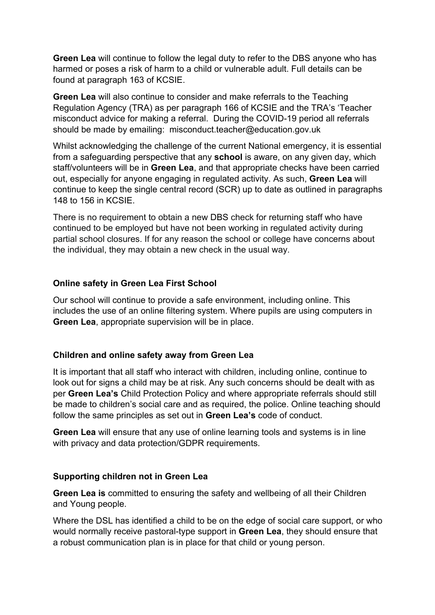**Green Lea** will continue to follow the legal duty to refer to the DBS anyone who has harmed or poses a risk of harm to a child or vulnerable adult. Full details can be found at paragraph 163 of KCSIE.

**Green Lea** will also continue to consider and make referrals to the Teaching Regulation Agency (TRA) as per paragraph 166 of KCSIE and the TRA's 'Teacher misconduct advice for making a referral. During the COVID-19 period all referrals should be made by emailing: misconduct.teacher@education.gov.uk

Whilst acknowledging the challenge of the current National emergency, it is essential from a safeguarding perspective that any **school** is aware, on any given day, which staff/volunteers will be in **Green Lea**, and that appropriate checks have been carried out, especially for anyone engaging in regulated activity. As such, **Green Lea** will continue to keep the single central record (SCR) up to date as outlined in paragraphs 148 to 156 in KCSIE.

There is no requirement to obtain a new DBS check for returning staff who have continued to be employed but have not been working in regulated activity during partial school closures. If for any reason the school or college have concerns about the individual, they may obtain a new check in the usual way.

## **Online safety in Green Lea First School**

Our school will continue to provide a safe environment, including online. This includes the use of an online filtering system. Where pupils are using computers in **Green Lea**, appropriate supervision will be in place.

#### **Children and online safety away from Green Lea**

It is important that all staff who interact with children, including online, continue to look out for signs a child may be at risk. Any such concerns should be dealt with as per **Green Lea's** Child Protection Policy and where appropriate referrals should still be made to children's social care and as required, the police. Online teaching should follow the same principles as set out in **Green Lea's** code of conduct.

**Green Lea** will ensure that any use of online learning tools and systems is in line with privacy and data protection/GDPR requirements.

#### **Supporting children not in Green Lea**

**Green Lea is** committed to ensuring the safety and wellbeing of all their Children and Young people.

Where the DSL has identified a child to be on the edge of social care support, or who would normally receive pastoral-type support in **Green Lea**, they should ensure that a robust communication plan is in place for that child or young person.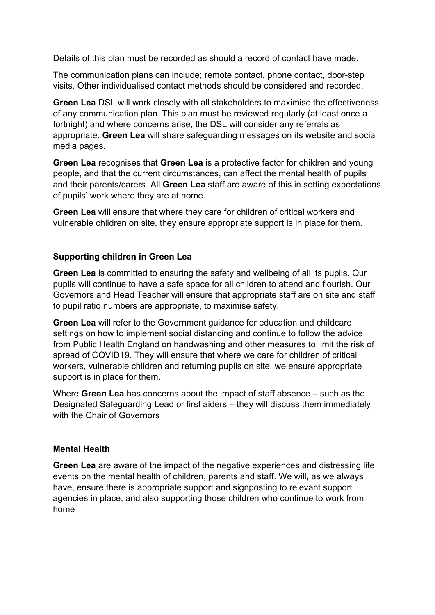Details of this plan must be recorded as should a record of contact have made.

The communication plans can include; remote contact, phone contact, door-step visits. Other individualised contact methods should be considered and recorded.

**Green Lea** DSL will work closely with all stakeholders to maximise the effectiveness of any communication plan. This plan must be reviewed regularly (at least once a fortnight) and where concerns arise, the DSL will consider any referrals as appropriate. **Green Lea** will share safeguarding messages on its website and social media pages.

**Green Lea** recognises that **Green Lea** is a protective factor for children and young people, and that the current circumstances, can affect the mental health of pupils and their parents/carers. All **Green Lea** staff are aware of this in setting expectations of pupils' work where they are at home.

**Green Lea** will ensure that where they care for children of critical workers and vulnerable children on site, they ensure appropriate support is in place for them.

#### **Supporting children in Green Lea**

**Green Lea** is committed to ensuring the safety and wellbeing of all its pupils. Our pupils will continue to have a safe space for all children to attend and flourish. Our Governors and Head Teacher will ensure that appropriate staff are on site and staff to pupil ratio numbers are appropriate, to maximise safety.

**Green Lea** will refer to the Government guidance for education and childcare settings on how to implement social distancing and continue to follow the advice from Public Health England on handwashing and other measures to limit the risk of spread of COVID19. They will ensure that where we care for children of critical workers, vulnerable children and returning pupils on site, we ensure appropriate support is in place for them.

Where **Green Lea** has concerns about the impact of staff absence – such as the Designated Safeguarding Lead or first aiders – they will discuss them immediately with the Chair of Governors

#### **Mental Health**

**Green Lea** are aware of the impact of the negative experiences and distressing life events on the mental health of children, parents and staff. We will, as we always have, ensure there is appropriate support and signposting to relevant support agencies in place, and also supporting those children who continue to work from home